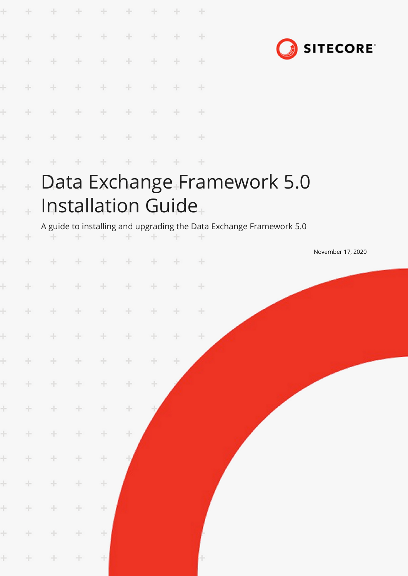|        |        |        | ÷      | $\frac{1}{2}$ | $\div$              |          |     | ÷             |                                                                                                    |
|--------|--------|--------|--------|---------------|---------------------|----------|-----|---------------|----------------------------------------------------------------------------------------------------|
|        | ÷      | ÷      | ÷      | $\frac{1}{2}$ | $\rightarrow$       | ÷        |     | $\rightarrow$ |                                                                                                    |
|        | ÷      | ÷      | ÷      | ÷             | ÷                   |          |     | $+$           | <b>SITECORE</b>                                                                                    |
|        |        |        |        | ÷             | $\oplus$            |          |     | ÷             |                                                                                                    |
|        |        |        |        | ÷             |                     | ÷        |     | $\pm$         |                                                                                                    |
|        |        |        | ÷      | ÷             | $\div$              | $\oplus$ |     | $\rightarrow$ |                                                                                                    |
|        |        |        |        |               |                     |          |     | $+$           |                                                                                                    |
| ł<br>ł | $\pm$  |        |        |               | Installation Guide. |          |     |               | Data Exchange Framework 5.0<br>A guide to installing and upgrading the Data Exchange Framework 5.0 |
| ł      | ÷      |        |        | ÷             |                     |          |     |               |                                                                                                    |
|        |        | ÷      | ÷      | ÷             | $+$                 | ÷        | ÷   | $-+$          | November 17, 2020                                                                                  |
|        |        |        | ÷      | ÷.            | ÷                   | $+$      |     | $\frac{1}{2}$ |                                                                                                    |
|        | $+$    | $+$    |        | $+ + + +$     |                     | $+$      | $+$ | $\pm$         |                                                                                                    |
| $\pm$  | $\pm$  | $+$    | $+$    | $\pm$         | $\pm$               | $+$      | $+$ | $\pm$         |                                                                                                    |
| $\pm$  | $+$    | $+$    | $\div$ | ÷             | $+$                 | $+$      | ÷   |               |                                                                                                    |
| $\pm$  | $\div$ | $\pm$  | $+$    | ÷             | ÷                   | ÷        |     |               |                                                                                                    |
| $\pm$  | ÷      | $\div$ | $\pm$  | ÷             | ÷                   |          |     |               |                                                                                                    |
| $\pm$  | $\pm$  | $\pm$  | $\pm$  | ÷             | ÷                   |          |     |               |                                                                                                    |
| $\pm$  | $+$    | $\div$ | ÷      | $\div$        |                     |          |     |               |                                                                                                    |
| $\pm$  | $\div$ | $\pm$  | ÷      | $\div$        |                     |          |     |               |                                                                                                    |
| $\pm$  | $\pm$  | $\pm$  | $\pm$  | ÷             |                     |          |     |               |                                                                                                    |
| $\pm$  | $\pm$  | $\pm$  | $\pm$  | ÷             |                     |          |     |               |                                                                                                    |
| ÷.     | $+$    | $\div$ | $\pm$  | 土             |                     |          |     |               |                                                                                                    |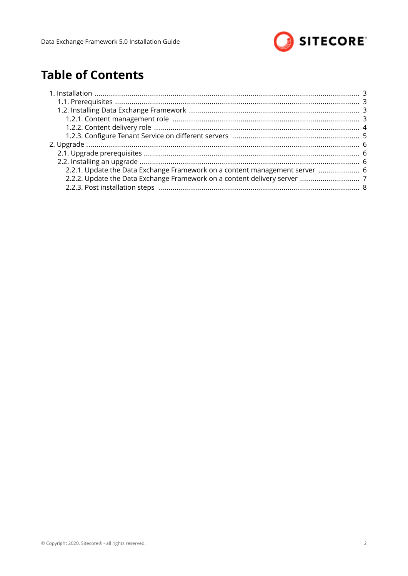

# **Table of Contents**

| 2.2.1. Update the Data Exchange Framework on a content management server  6 |
|-----------------------------------------------------------------------------|
|                                                                             |
|                                                                             |
|                                                                             |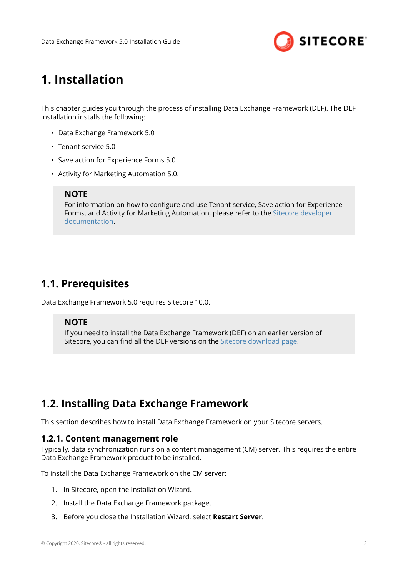

# <span id="page-2-0"></span>**1. Installation**

This chapter guides you through the process of installing Data Exchange Framework (DEF). The DEF installation installs the following:

- Data Exchange Framework 5.0
- Tenant service 5.0
- Save action for Experience Forms 5.0
- Activity for Marketing Automation 5.0.

### **NOTE**

For information on how to configure and use Tenant service, Save action for Experience Forms, and Activity for Marketing Automation, please refer to the [Sitecore developer](https://doc.sitecore.com/developers) [documentation](https://doc.sitecore.com/developers).

## **1.1. Prerequisites**

Data Exchange Framework 5.0 requires Sitecore 10.0.

#### **NOTE**

If you need to install the Data Exchange Framework (DEF) on an earlier version of Sitecore, you can find all the DEF versions on the [Sitecore download page.](https://dev.sitecore.net/Downloads/Data_Exchange_Framework.aspx)

## **1.2. Installing Data Exchange Framework**

This section describes how to install Data Exchange Framework on your Sitecore servers.

### **1.2.1. Content management role**

Typically, data synchronization runs on a content management (CM) server. This requires the entire Data Exchange Framework product to be installed.

To install the Data Exchange Framework on the CM server:

- 1. In Sitecore, open the Installation Wizard.
- 2. Install the Data Exchange Framework package.
- 3. Before you close the Installation Wizard, select **Restart Server**.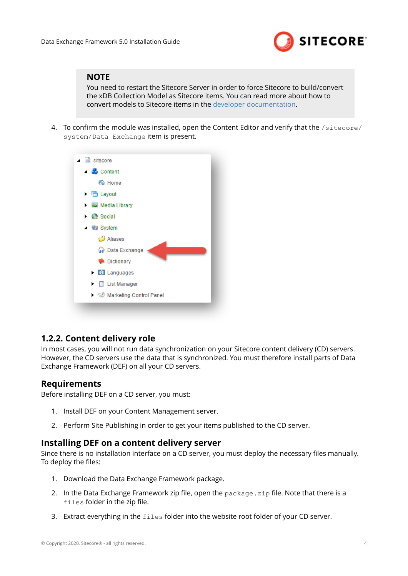

### <span id="page-3-0"></span>**NOTE**

You need to restart the Sitecore Server in order to force Sitecore to build/convert the xDB Collection Model as Sitecore items. You can read more about how to convert models to Sitecore items in the [developer documentation.](https://doc.sitecore.com/developers)

4. To confirm the module was installed, open the Content Editor and verify that the /sitecore/ system/Data Exchange item is present.



### **1.2.2. Content delivery role**

In most cases, you will not run data synchronization on your Sitecore content delivery (CD) servers. However, the CD servers use the data that is synchronized. You must therefore install parts of Data Exchange Framework (DEF) on all your CD servers.

### **Requirements**

Before installing DEF on a CD server, you must:

- 1. Install DEF on your Content Management server.
- 2. Perform Site Publishing in order to get your items published to the CD server.

### **Installing DEF on a content delivery server**

Since there is no installation interface on a CD server, you must deploy the necessary files manually. To deploy the files:

- 1. Download the Data Exchange Framework package.
- 2. In the Data Exchange Framework zip file, open the  $package \cdot zip$  file. Note that there is a files folder in the zip file.
- 3. Extract everything in the files folder into the website root folder of your CD server.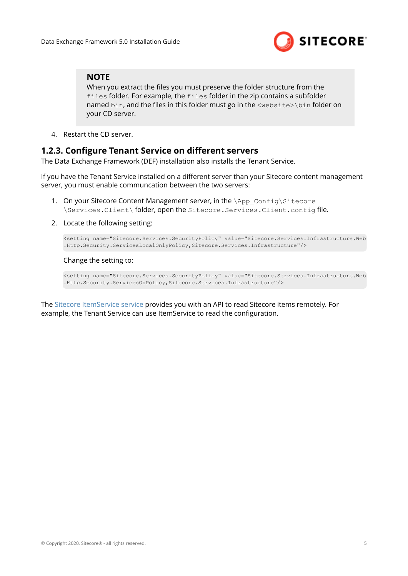

### <span id="page-4-0"></span>**NOTE**

When you extract the files you must preserve the folder structure from the files folder. For example, the files folder in the zip contains a subfolder named bin, and the files in this folder must go in the <website>\bin folder on your CD server.

4. Restart the CD server.

### **1.2.3. Configure Tenant Service on different servers**

The Data Exchange Framework (DEF) installation also installs the Tenant Service.

If you have the Tenant Service installed on a different server than your Sitecore content management server, you must enable communcation between the two servers:

- 1. On your Sitecore Content Management server, in the \App\_Config\Sitecore \Services.Client\ folder, open the Sitecore.Services.Client.config file.
- 2. Locate the following setting:

<setting name="Sitecore.Services.SecurityPolicy" value="Sitecore.Services.Infrastructure.Web .Http.Security.ServicesLocalOnlyPolicy,Sitecore.Services.Infrastructure"/>

#### Change the setting to:

<setting name="Sitecore.Services.SecurityPolicy" value="Sitecore.Services.Infrastructure.Web .Http.Security.ServicesOnPolicy,Sitecore.Services.Infrastructure"/>

The Sitecore ItemService service provides you with an API to read Sitecore items remotely. For example, the Tenant Service can use ItemService to read the configuration.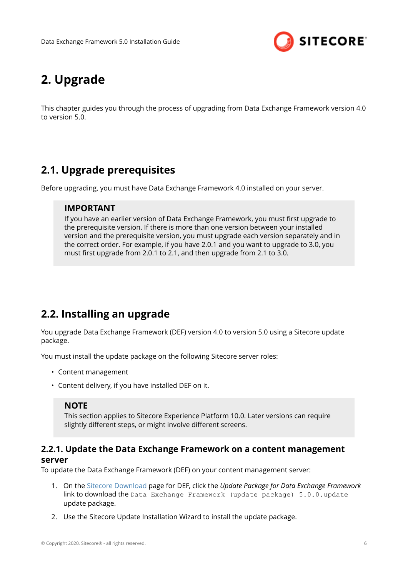

# <span id="page-5-0"></span>**2. Upgrade**

This chapter guides you through the process of upgrading from Data Exchange Framework version 4.0 to version 5.0.

# **2.1. Upgrade prerequisites**

Before upgrading, you must have Data Exchange Framework 4.0 installed on your server.

### **IMPORTANT**

If you have an earlier version of Data Exchange Framework, you must first upgrade to the prerequisite version. If there is more than one version between your installed version and the prerequisite version, you must upgrade each version separately and in the correct order. For example, if you have 2.0.1 and you want to upgrade to 3.0, you must first upgrade from 2.0.1 to 2.1, and then upgrade from 2.1 to 3.0.

# **2.2. Installing an upgrade**

You upgrade Data Exchange Framework (DEF) version 4.0 to version 5.0 using a Sitecore update package.

You must install the update package on the following Sitecore server roles:

- Content management
- Content delivery, if you have installed DEF on it.

#### **NOTE**

This section applies to Sitecore Experience Platform 10.0. Later versions can require slightly different steps, or might involve different screens.

### **2.2.1. Update the Data Exchange Framework on a content management server**

To update the Data Exchange Framework (DEF) on your content management server:

- 1. On the [Sitecore Download](https://dev.sitecore.net/downloads) page for DEF, click the *Update Package for Data Exchange Framework* link to download the Data Exchange Framework (update package) 5.0.0.update update package.
- 2. Use the Sitecore Update Installation Wizard to install the update package.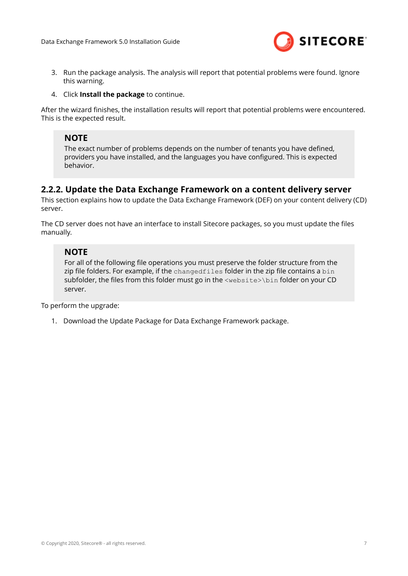

- <span id="page-6-0"></span>3. Run the package analysis. The analysis will report that potential problems were found. Ignore this warning.
- 4. Click **Install the package** to continue.

After the wizard finishes, the installation results will report that potential problems were encountered. This is the expected result.

## **NOTE**

The exact number of problems depends on the number of tenants you have defined, providers you have installed, and the languages you have configured. This is expected behavior.

### **2.2.2. Update the Data Exchange Framework on a content delivery server**

This section explains how to update the Data Exchange Framework (DEF) on your content delivery (CD) server.

The CD server does not have an interface to install Sitecore packages, so you must update the files manually.

### **NOTE**

For all of the following file operations you must preserve the folder structure from the zip file folders. For example, if the changedfiles folder in the zip file contains a bin subfolder, the files from this folder must go in the <website>\bin folder on your CD server.

To perform the upgrade:

1. Download the Update Package for Data Exchange Framework package.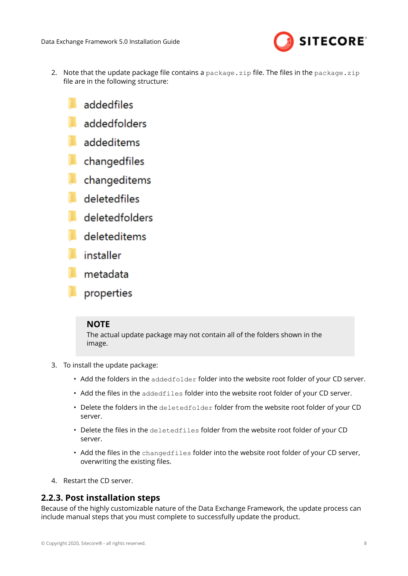

- <span id="page-7-0"></span>2. Note that the update package file contains a package, zip file. The files in the package, zip file are in the following structure:
	- addedfiles
	- addedfolders
	- addeditems
	- changedfiles
	- changeditems
	- deletedfiles
	- deletedfolders
	- deleteditems
	- installer
	- metadata
	- properties

### **NOTE**

The actual update package may not contain all of the folders shown in the image.

- 3. To install the update package:
	- Add the folders in the addedfolder folder into the website root folder of your CD server.
	- Add the files in the addedfiles folder into the website root folder of your CD server.
	- Delete the folders in the deletedfolder folder from the website root folder of your CD server.
	- Delete the files in the deletedfiles folder from the website root folder of your CD server.
	- Add the files in the changedfiles folder into the website root folder of your CD server, overwriting the existing files.
- 4. Restart the CD server.

### **2.2.3. Post installation steps**

Because of the highly customizable nature of the Data Exchange Framework, the update process can include manual steps that you must complete to successfully update the product.